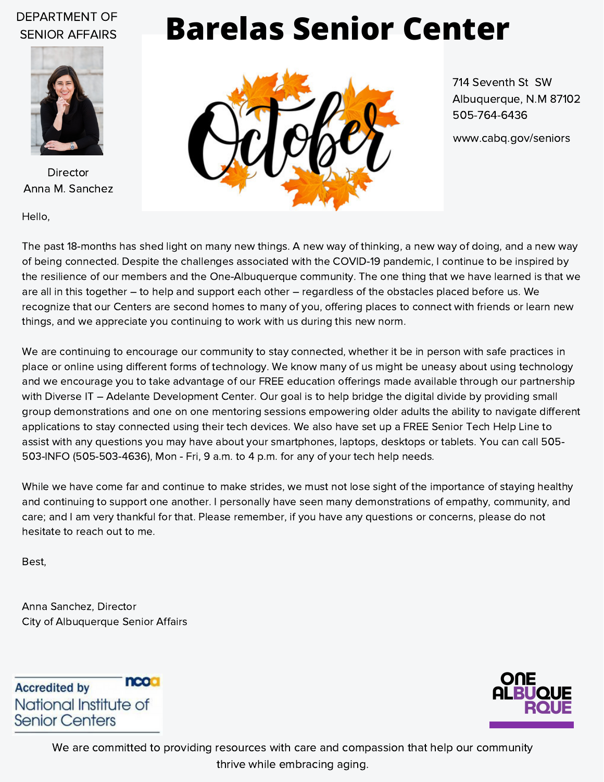# DEPARTMENT OF SENIOR AFFAIRS



**Director** Anna M. Sanchez

# **Barelas Senior Center**



714 Seventh St SW Albuquerque, N.M 87102 505-764-6436

www.cabq.gov/seniors

Hello,

The past 18-months has shed light on many new things. A new way of thinking, a new way of doing, and a new way of being connected. Despite the challenges associated with the COVID-19 pandemic, I continue to be inspired by the resilience of our members and the One-Albuquerque community. The one thing that we have learned is that we are all in this together – to help and support each other – regardless of the obstacles placed before us. We recognize that our Centers are second homes to many of you, offering places to connect with friends or learn new things, and we appreciate you continuing to work with us during this new norm.

We are continuing to encourage our community to stay connected, whether it be in person with safe practices in place or online using different forms of technology. We know many of us might be uneasy about using technology and we encourage you to take advantage of our FREE education offerings made available through our partnership with Diverse IT – Adelante Development Center. Our goal is to help bridge the digital divide by providing small group demonstrations and one on one mentoring sessions empowering older adults the ability to navigate different applications to stay connected using their tech devices. We also have set up a FREE Senior Tech Help Line to assist with any questions you may have about your smartphones, laptops, desktops or tablets. You can call 505- 503-INFO (505-503-4636), Mon - Fri, 9 a.m. to 4 p.m. for any of your tech help needs.

While we have come far and continue to make strides, we must not lose sight of the importance of staying healthy and continuing to support one another. I personally have seen many demonstrations of empathy, community, and care; and I am very thankful for that. Please remember, if you have any questions or concerns, please do not hesitate to reach out to me.

Best,

Anna Sanchez, Director City of Albuquerque Senior Affairs

**ncoa Accredited by** National Institute of **Senior Centers** 



We are committed to providing resources with care and compassion that help our community thrive while embracing aging.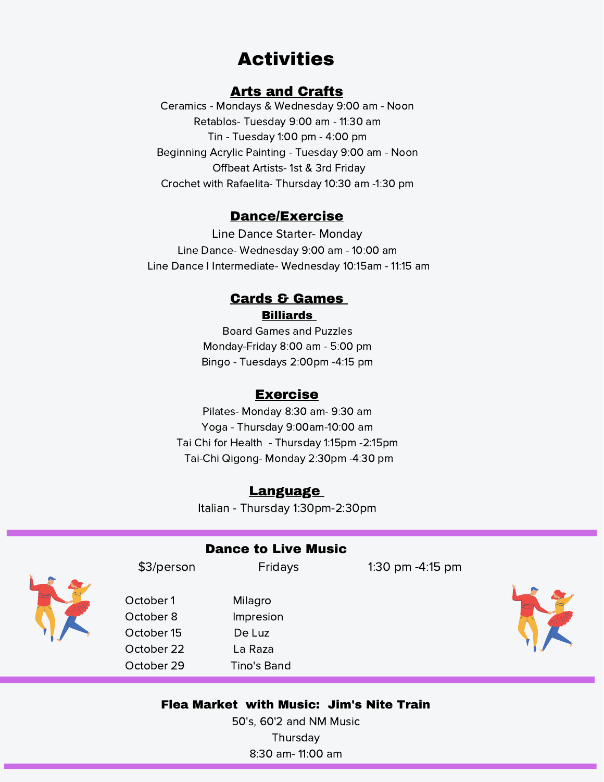# **Activities**

# Arts and Crafts

Ceramics - Mondays & Wednesday 9:00 am - Noon Retablos- Tuesday 9:00 am - 11:30 am Tin - Tuesday 1:00 pm - 4:00 pm Beginning Acrylic Painting - Tuesday 9:00 am - Noon Offbeat Artists- 1st & 3rd Friday Crochet with Rafaelita- Thursday 10:30 am -1:30 pm

# Dance/Exercise

Line Dance Starter- Monday Line Dance- Wednesday 9:00 am - 10:00 am Line Dance I Intermediate- Wednesday 10:15am - 11:15 am

#### Cards & Games **Billiards**

Board Games and Puzzles Monday-Friday 8:00 am - 5:00 pm Bingo - Tuesdays 2:00pm -4:15 pm

#### Exercise

Pilates- Monday 8:30 am- 9:30 am Yoga - Thursday 9:00am-10:00 am Tai Chi for Health - Thursday 1:15pm -2:15pm Tai-Chi Qigong- Monday 2:30pm -4:30 pm

# **Language**

Italian - Thursday 1:30pm-2:30pm

\$3/person Fridays 1:30 pm -4:15 pm

# Dance to Live Music



October 1 Milagro October 8 Impresion October 15 De Luz October 22 La Raza October 29 Tino's Band



# Flea Market with Music: Jim's Nite Train

50's, 60'2 and NM Music Thursday 8:30 am- 11:00 am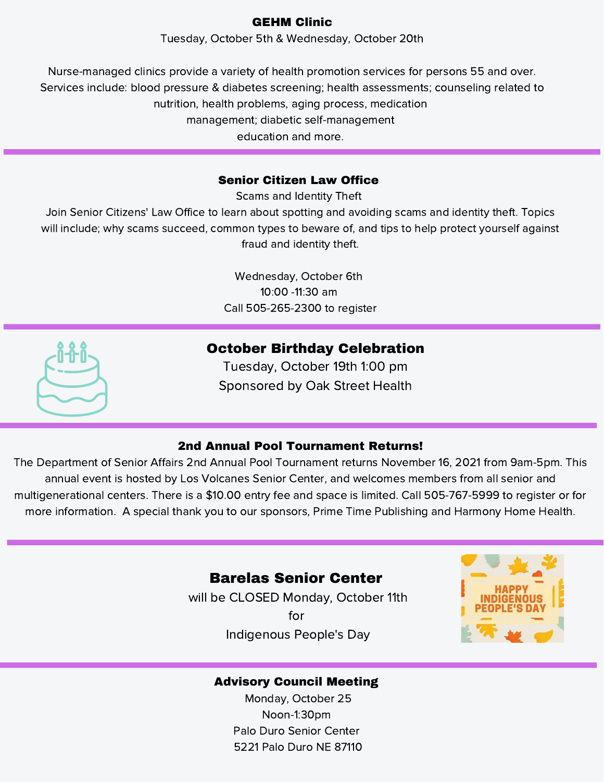#### GEHM Clinic

Tuesday, October 5th & Wednesday, October 20th

Nurse-managed clinics provide a variety of health promotion services for persons 55 and over. Services include: blood pressure & diabetes screening; health assessments; counseling related to nutrition, health problems, aging process, medication management; diabetic self-management education and more.

#### Senior Citizen Law Office

Scams and Identity Theft

Join Senior Citizens' Law Office to learn about spotting and avoiding scams and identity theft. Topics will include; why scams succeed, common types to beware of, and tips to help protect yourself against fraud and identity theft.

> Wednesday, October 6th 10:00 -11:30 am Call 505-265-2300 to register



# October Birthday Celebration

Tuesday, October 19th 1:00 pm Sponsored by Oak Street Health

#### 2nd Annual Pool Tournament Returns!

The Department of Senior Affairs 2nd Annual Pool Tournament returns November 16, 2021 from 9am-5pm. This annual event is hosted by Los Volcanes Senior Center, and welcomes members from all senior and multigenerational centers. There is a \$10.00 entry fee and space is limited. Call 505-767-5999 to register or for more information. A special thank you to our sponsors, Prime Time Publishing and Harmony Home Health.

#### Barelas Senior Center

will be CLOSED Monday, October 11th for Indigenous People's Day



#### Advisory Council Meeting

Monday, October 25 Noon-1:30pm Palo Duro Senior Center 5221 Palo Duro NE 87110